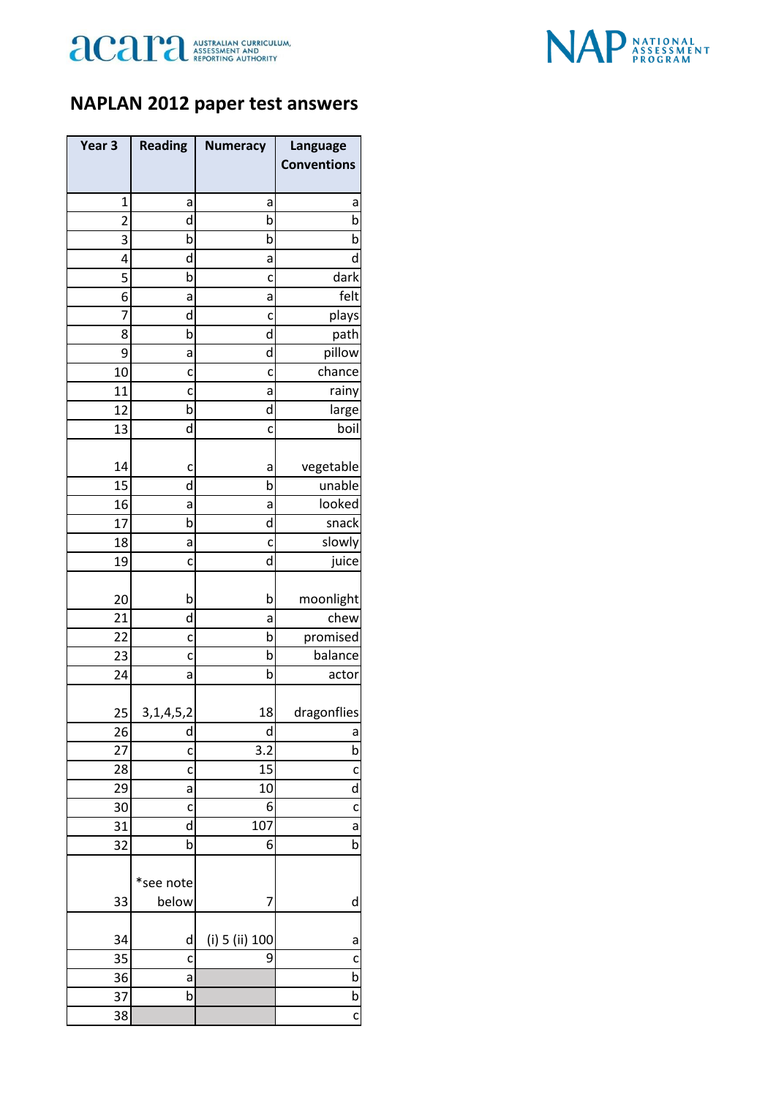



## **NAPLAN 2012 paper test answers**

| Year <sub>3</sub> | <b>Reading</b> | <b>Numeracy</b> | Language           |
|-------------------|----------------|-----------------|--------------------|
|                   |                |                 | <b>Conventions</b> |
| $\mathbf{1}$      | a              | а               | a                  |
| $\overline{2}$    | d              | b               | b                  |
| 3                 | b              | b               | b                  |
| 4                 | d              | а               | d                  |
| 5                 | b              | c               | dark               |
| 6                 | a              | a               | felt               |
| 7                 | d              | c               | plays              |
| 8                 | b              | d               | path               |
| 9                 | а              | d               | pillow             |
| 10                | c              | c               | chance             |
| 11                | C              | a               | rainy              |
| 12                | b              | d               | large              |
| 13                | d              | C               | boil               |
|                   |                |                 |                    |
| 14                | c              | a               | vegetable          |
| 15                | d              | b               | unable             |
| 16                | а              | a               | looked             |
| 17                | b              | d               | snack              |
| 18                | а              | c               | slowly             |
| 19                | c              | d               | juice              |
| 20                | b              | b               | moonlight          |
| 21                | d              | а               | chew               |
| 22                | C              | b               | promised           |
| 23                | c              | b               | balance            |
| 24                | а              | b               | actor              |
| 25                | 3, 1, 4, 5, 2  | 18              | dragonflies        |
| 26                | d              | d               | a                  |
| 27                | C              | 3.2             | b                  |
| 28                | c              | 15              | c                  |
| 29                | a              | 10              | d                  |
| 30                | C              | 6               | $\mathsf{C}$       |
| 31                | d              | 107             | a                  |
| 32                | b              | 6               | b                  |
|                   |                |                 |                    |
|                   | *see note      |                 |                    |
| 33                | below          | 7               | d                  |
| 34                | d              | (i) 5 (ii) 100  | a                  |
| 35                | C              | 9               | c                  |
| 36                | а              |                 | b                  |
| 37                | b              |                 | b                  |
| 38                |                |                 | C                  |